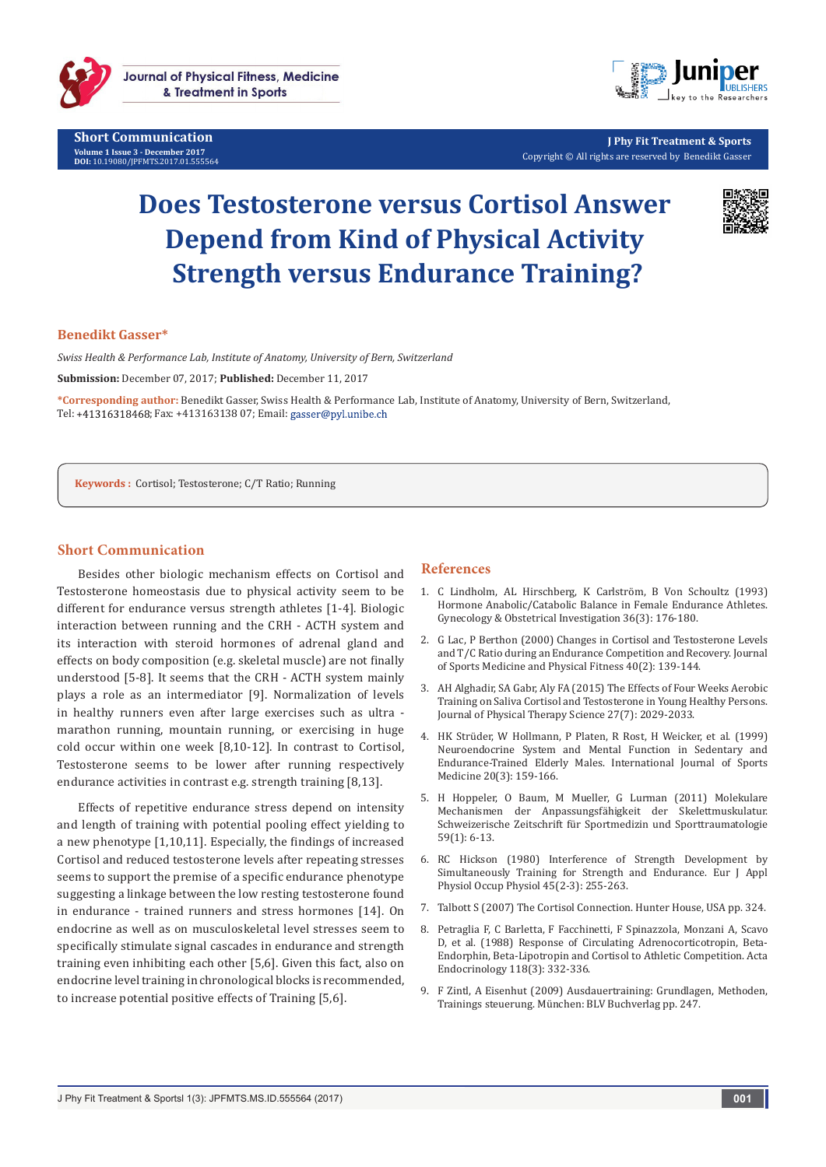

**Short Communication Volume 1 Issue 3 - December 2017 DOI:** [10.19080/JPFMTS.2017.01.555564](http://dx.doi.org/10.19080/JPFMTS.2017.01.555564
)



**J Phy Fit Treatment & Sports** Copyright © All rights are reserved by Benedikt Gasser

# **Does Testosterone versus Cortisol Answer Depend from Kind of Physical Activity Strength versus Endurance Training?**



### **Benedikt Gasser\***

*Swiss Health & Performance Lab, Institute of Anatomy, University of Bern, Switzerland* **Submission:** December 07, 2017; **Published:** December 11, 2017

**\*Corresponding author:** Benedikt Gasser, Swiss Health & Performance Lab, Institute of Anatomy, University of Bern, Switzerland, Tel: +41316318468; Fax: +413163138 07; Email: gasser@pyl.unibe.ch

**Keywords :** Cortisol; Testosterone; C/T Ratio; Running

#### **Short Communication**

Besides other biologic mechanism effects on Cortisol and Testosterone homeostasis due to physical activity seem to be different for endurance versus strength athletes [1-4]. Biologic interaction between running and the CRH - ACTH system and its interaction with steroid hormones of adrenal gland and effects on body composition (e.g. skeletal muscle) are not finally understood [5-8]. It seems that the CRH - ACTH system mainly plays a role as an intermediator [9]. Normalization of levels in healthy runners even after large exercises such as ultra marathon running, mountain running, or exercising in huge cold occur within one week [8,10-12]. In contrast to Cortisol, Testosterone seems to be lower after running respectively endurance activities in contrast e.g. strength training [8,13].

Effects of repetitive endurance stress depend on intensity and length of training with potential pooling effect yielding to a new phenotype [1,10,11]. Especially, the findings of increased Cortisol and reduced testosterone levels after repeating stresses seems to support the premise of a specific endurance phenotype suggesting a linkage between the low resting testosterone found in endurance - trained runners and stress hormones [14]. On endocrine as well as on musculoskeletal level stresses seem to specifically stimulate signal cascades in endurance and strength training even inhibiting each other [5,6]. Given this fact, also on endocrine level training in chronological blocks is recommended, to increase potential positive effects of Training [5,6].

## **References**

- 1. [C Lindholm, AL Hirschberg, K Carlström, B Von Schoultz \(1993\)](https://www.ncbi.nlm.nih.gov/pubmed/8244193)  [Hormone Anabolic/Catabolic Balance in Female Endurance Athletes.](https://www.ncbi.nlm.nih.gov/pubmed/8244193)  [Gynecology & Obstetrical Investigation 36\(3\): 176-180.](https://www.ncbi.nlm.nih.gov/pubmed/8244193)
- 2. [G Lac, P Berthon \(2000\) Changes in Cortisol and Testosterone Levels](https://www.ncbi.nlm.nih.gov/pubmed/11034434)  [and T/C Ratio during an Endurance Competition and Recovery. Journal](https://www.ncbi.nlm.nih.gov/pubmed/11034434)  [of Sports Medicine and Physical Fitness 40\(2\): 139-144.](https://www.ncbi.nlm.nih.gov/pubmed/11034434)
- 3. [AH Alghadir, SA Gabr, Aly FA \(2015\) The Effects of Four Weeks Aerobic](https://www.ncbi.nlm.nih.gov/pubmed/26311920)  [Training on Saliva Cortisol and Testosterone in Young Healthy Persons.](https://www.ncbi.nlm.nih.gov/pubmed/26311920)  [Journal of Physical Therapy Science 27\(7\): 2029-2033.](https://www.ncbi.nlm.nih.gov/pubmed/26311920)
- 4. [HK Strüder, W Hollmann, P Platen, R Rost, H Weicker, et al. \(1999\)](https://www.ncbi.nlm.nih.gov/pubmed/10333092)  [Neuroendocrine System and Mental Function in Sedentary and](https://www.ncbi.nlm.nih.gov/pubmed/10333092)  [Endurance-Trained Elderly Males. International Journal of Sports](https://www.ncbi.nlm.nih.gov/pubmed/10333092)  [Medicine 20\(3\): 159-166.](https://www.ncbi.nlm.nih.gov/pubmed/10333092)
- 5. [H Hoppeler, O Baum, M Mueller, G Lurman \(2011\) Molekulare](https://www.sgsm.ch/fileadmin/user_upload/Zeitschrift/59-2011-1/Moleculaire_59_1_11_Hoppeler.pdf)  [Mechanismen der Anpassungsfähigkeit der Skelettmuskulatur.](https://www.sgsm.ch/fileadmin/user_upload/Zeitschrift/59-2011-1/Moleculaire_59_1_11_Hoppeler.pdf)  [Schweizerische Zeitschrift für Sportmedizin und Sporttraumatologie](https://www.sgsm.ch/fileadmin/user_upload/Zeitschrift/59-2011-1/Moleculaire_59_1_11_Hoppeler.pdf)  [59\(1\): 6-13.](https://www.sgsm.ch/fileadmin/user_upload/Zeitschrift/59-2011-1/Moleculaire_59_1_11_Hoppeler.pdf)
- 6. [RC Hickson \(1980\) Interference of Strength Development by](https://www.ncbi.nlm.nih.gov/pubmed/7193134)  [Simultaneously Training for Strength and Endurance. Eur J Appl](https://www.ncbi.nlm.nih.gov/pubmed/7193134)  [Physiol Occup Physiol 45\(2-3\): 255-263.](https://www.ncbi.nlm.nih.gov/pubmed/7193134)
- 7. [Talbott S \(2007\) The Cortisol Connection. Hunter House, USA pp. 324.](https://cmc.marmot.org/Record/.b28140321)
- 8. [Petraglia F, C Barletta, F Facchinetti, F Spinazzola, Monzani A, Scavo](https://www.ncbi.nlm.nih.gov/pubmed/2839944)  [D, et al. \(1988\) Response of Circulating Adrenocorticotropin, Beta-](https://www.ncbi.nlm.nih.gov/pubmed/2839944)[Endorphin, Beta-Lipotropin and Cortisol to Athletic Competition. Acta](https://www.ncbi.nlm.nih.gov/pubmed/2839944)  [Endocrinology 118\(3\): 332-336.](https://www.ncbi.nlm.nih.gov/pubmed/2839944)
- 9. [F Zintl, A Eisenhut \(2009\) Ausdauertraining: Grundlagen, Methoden,](https://www.bisp-surf.de/Record/PU201009007149)  [Trainings steuerung. München: BLV Buchverlag pp. 247.](https://www.bisp-surf.de/Record/PU201009007149)